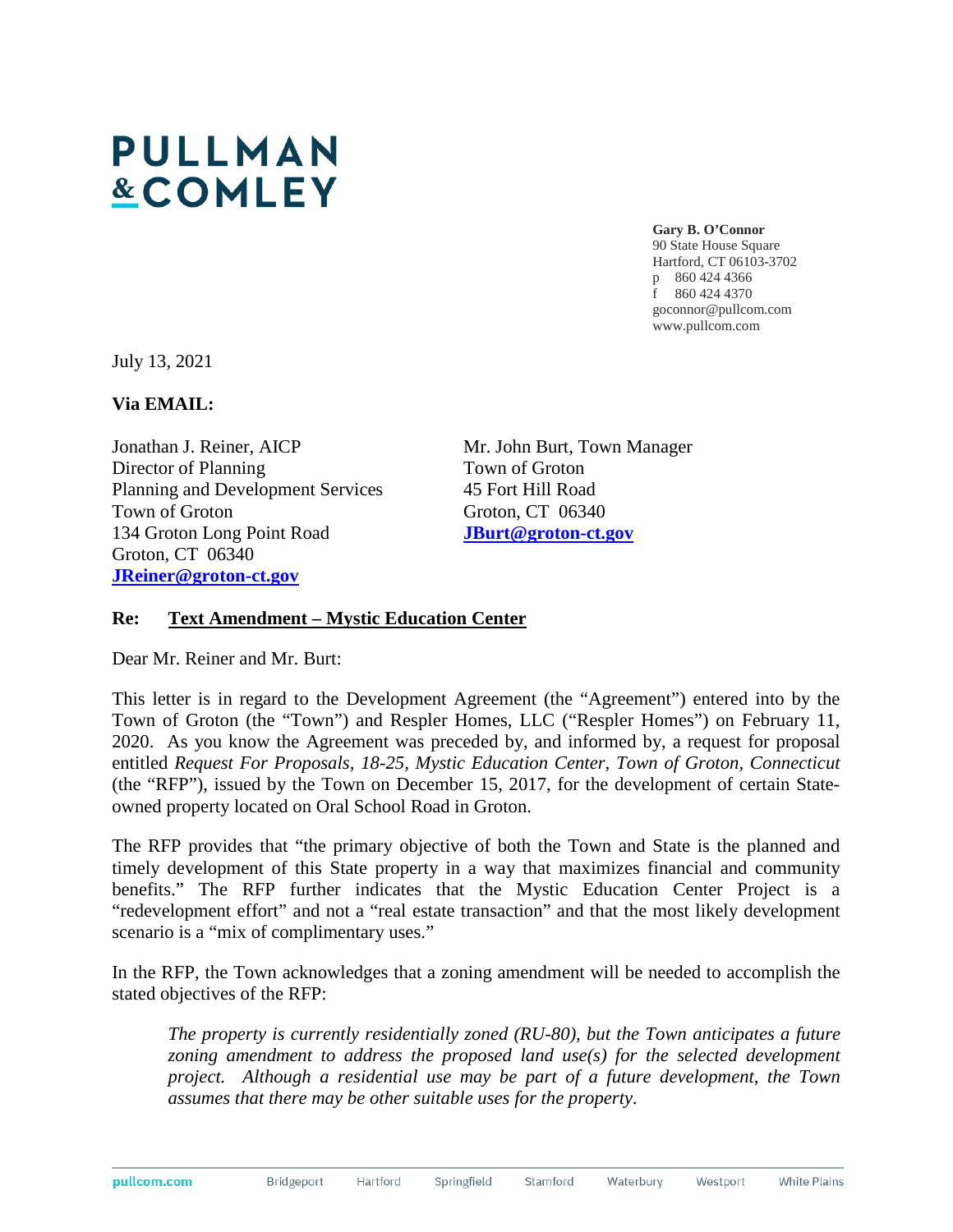## **PULLMAN &COMLEY**

**Gary B. O'Connor**  90 State House Square Hartford, CT 06103-3702 p 860 424 4366 f 860 424 4370 goconnor@pullcom.com www.pullcom.com

July 13, 2021

**Via EMAIL:** 

Jonathan J. Reiner, AICP Director of Planning Planning and Development Services Town of Groton 134 Groton Long Point Road Groton, CT 06340 **JReiner@groton-ct.gov**

Mr. John Burt, Town Manager Town of Groton 45 Fort Hill Road Groton, CT 06340 **JBurt@groton-ct.gov**

## **Re: Text Amendment – Mystic Education Center**

Dear Mr. Reiner and Mr. Burt:

This letter is in regard to the Development Agreement (the "Agreement") entered into by the Town of Groton (the "Town") and Respler Homes, LLC ("Respler Homes") on February 11, 2020. As you know the Agreement was preceded by, and informed by, a request for proposal entitled *Request For Proposals, 18-25, Mystic Education Center, Town of Groton, Connecticut* (the "RFP"), issued by the Town on December 15, 2017, for the development of certain Stateowned property located on Oral School Road in Groton.

The RFP provides that "the primary objective of both the Town and State is the planned and timely development of this State property in a way that maximizes financial and community benefits." The RFP further indicates that the Mystic Education Center Project is a "redevelopment effort" and not a "real estate transaction" and that the most likely development scenario is a "mix of complimentary uses."

In the RFP, the Town acknowledges that a zoning amendment will be needed to accomplish the stated objectives of the RFP:

*The property is currently residentially zoned (RU-80), but the Town anticipates a future*  zoning amendment to address the proposed land use(s) for the selected development *project. Although a residential use may be part of a future development, the Town assumes that there may be other suitable uses for the property*.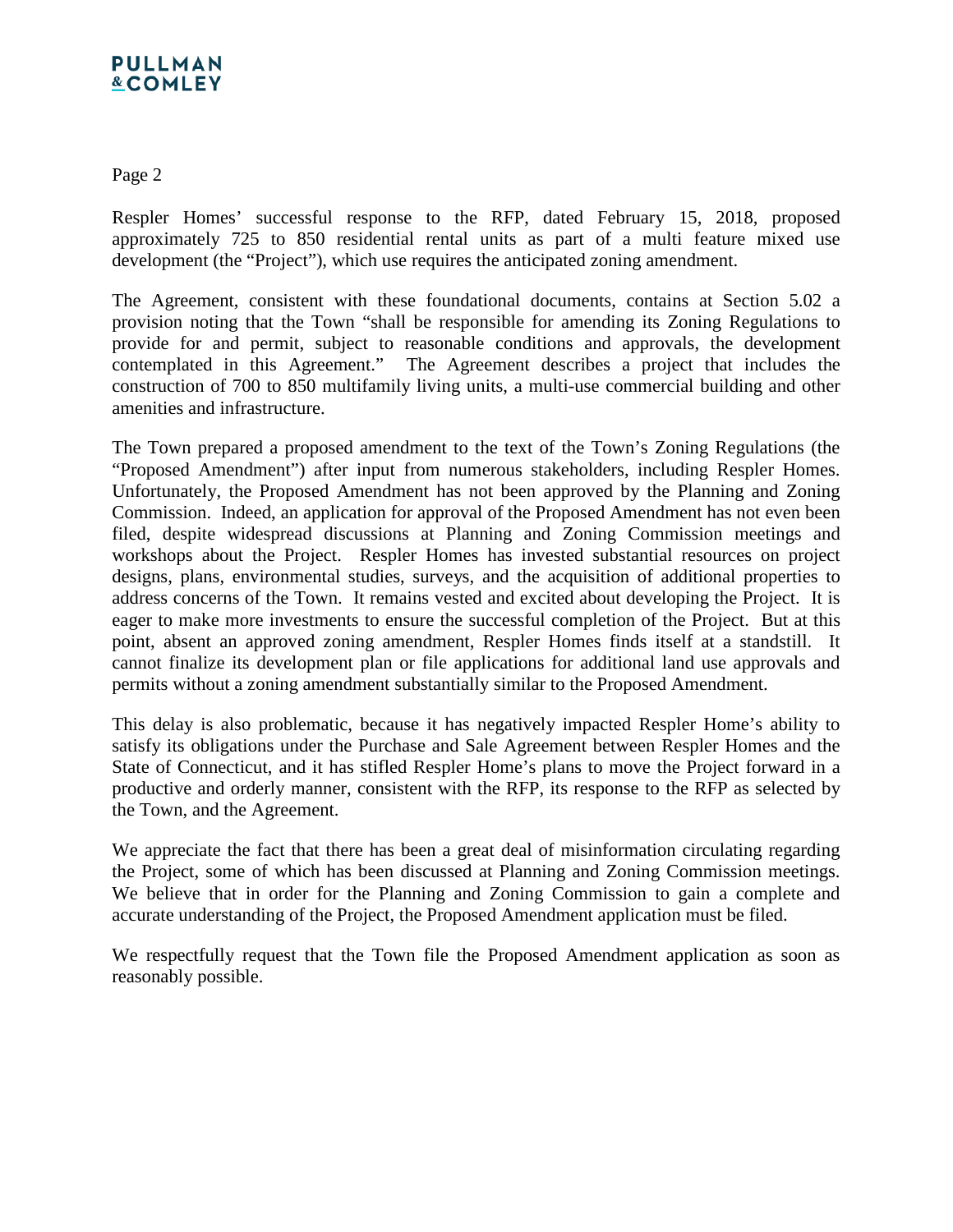## **PULLMAN &COMLEY**

Page 2

Respler Homes' successful response to the RFP, dated February 15, 2018, proposed approximately 725 to 850 residential rental units as part of a multi feature mixed use development (the "Project"), which use requires the anticipated zoning amendment.

The Agreement, consistent with these foundational documents, contains at Section 5.02 a provision noting that the Town "shall be responsible for amending its Zoning Regulations to provide for and permit, subject to reasonable conditions and approvals, the development contemplated in this Agreement." The Agreement describes a project that includes the construction of 700 to 850 multifamily living units, a multi-use commercial building and other amenities and infrastructure.

The Town prepared a proposed amendment to the text of the Town's Zoning Regulations (the "Proposed Amendment") after input from numerous stakeholders, including Respler Homes. Unfortunately, the Proposed Amendment has not been approved by the Planning and Zoning Commission. Indeed, an application for approval of the Proposed Amendment has not even been filed, despite widespread discussions at Planning and Zoning Commission meetings and workshops about the Project. Respler Homes has invested substantial resources on project designs, plans, environmental studies, surveys, and the acquisition of additional properties to address concerns of the Town. It remains vested and excited about developing the Project. It is eager to make more investments to ensure the successful completion of the Project. But at this point, absent an approved zoning amendment, Respler Homes finds itself at a standstill. It cannot finalize its development plan or file applications for additional land use approvals and permits without a zoning amendment substantially similar to the Proposed Amendment.

This delay is also problematic, because it has negatively impacted Respler Home's ability to satisfy its obligations under the Purchase and Sale Agreement between Respler Homes and the State of Connecticut, and it has stifled Respler Home's plans to move the Project forward in a productive and orderly manner, consistent with the RFP, its response to the RFP as selected by the Town, and the Agreement.

We appreciate the fact that there has been a great deal of misinformation circulating regarding the Project, some of which has been discussed at Planning and Zoning Commission meetings. We believe that in order for the Planning and Zoning Commission to gain a complete and accurate understanding of the Project, the Proposed Amendment application must be filed.

We respectfully request that the Town file the Proposed Amendment application as soon as reasonably possible.